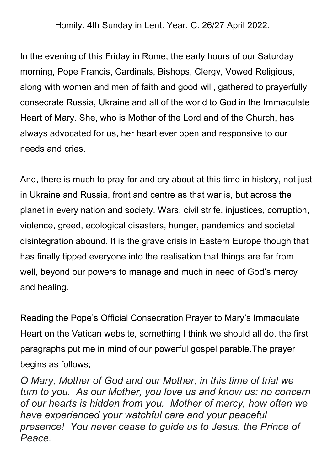Homily. 4th Sunday in Lent. Year. C. 26/27 April 2022.

In the evening of this Friday in Rome, the early hours of our Saturday morning, Pope Francis, Cardinals, Bishops, Clergy, Vowed Religious, along with women and men of faith and good will, gathered to prayerfully consecrate Russia, Ukraine and all of the world to God in the Immaculate Heart of Mary. She, who is Mother of the Lord and of the Church, has always advocated for us, her heart ever open and responsive to our needs and cries.

And, there is much to pray for and cry about at this time in history, not just in Ukraine and Russia, front and centre as that war is, but across the planet in every nation and society. Wars, civil strife, injustices, corruption, violence, greed, ecological disasters, hunger, pandemics and societal disintegration abound. It is the grave crisis in Eastern Europe though that has finally tipped everyone into the realisation that things are far from well, beyond our powers to manage and much in need of God's mercy and healing.

Reading the Pope's Official Consecration Prayer to Mary's Immaculate Heart on the Vatican website, something I think we should all do, the first paragraphs put me in mind of our powerful gospel parable.The prayer begins as follows;

*O Mary, Mother of God and our Mother, in this time of trial we turn to you. As our Mother, you love us and know us: no concern of our hearts is hidden from you. Mother of mercy, how often we have experienced your watchful care and your peaceful presence! You never cease to guide us to Jesus, the Prince of Peace.*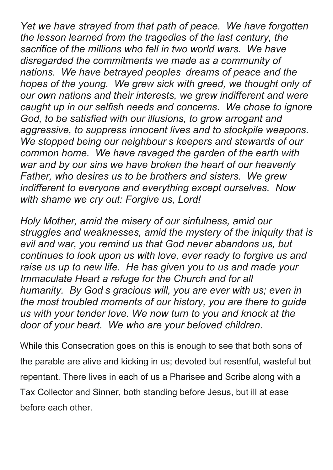*Yet we have strayed from that path of peace. We have forgotten the lesson learned from the tragedies of the last century, the sacrifice of the millions who fell in two world wars. We have disregarded the commitments we made as a community of nations. We have betrayed peoples dreams of peace and the hopes of the young. We grew sick with greed, we thought only of our own nations and their interests, we grew indifferent and were caught up in our selfish needs and concerns. We chose to ignore God, to be satisfied with our illusions, to grow arrogant and aggressive, to suppress innocent lives and to stockpile weapons. We stopped being our neighbour s keepers and stewards of our common home. We have ravaged the garden of the earth with war and by our sins we have broken the heart of our heavenly Father, who desires us to be brothers and sisters. We grew indifferent to everyone and everything except ourselves. Now with shame we cry out: Forgive us, Lord!*

*Holy Mother, amid the misery of our sinfulness, amid our struggles and weaknesses, amid the mystery of the iniquity that is evil and war, you remind us that God never abandons us, but continues to look upon us with love, ever ready to forgive us and raise us up to new life. He has given you to us and made your Immaculate Heart a refuge for the Church and for all humanity. By God s gracious will, you are ever with us; even in the most troubled moments of our history, you are there to guide us with your tender love. We now turn to you and knock at the door of your heart. We who are your beloved children.*

While this Consecration goes on this is enough to see that both sons of the parable are alive and kicking in us; devoted but resentful, wasteful but repentant. There lives in each of us a Pharisee and Scribe along with a Tax Collector and Sinner, both standing before Jesus, but ill at ease before each other.